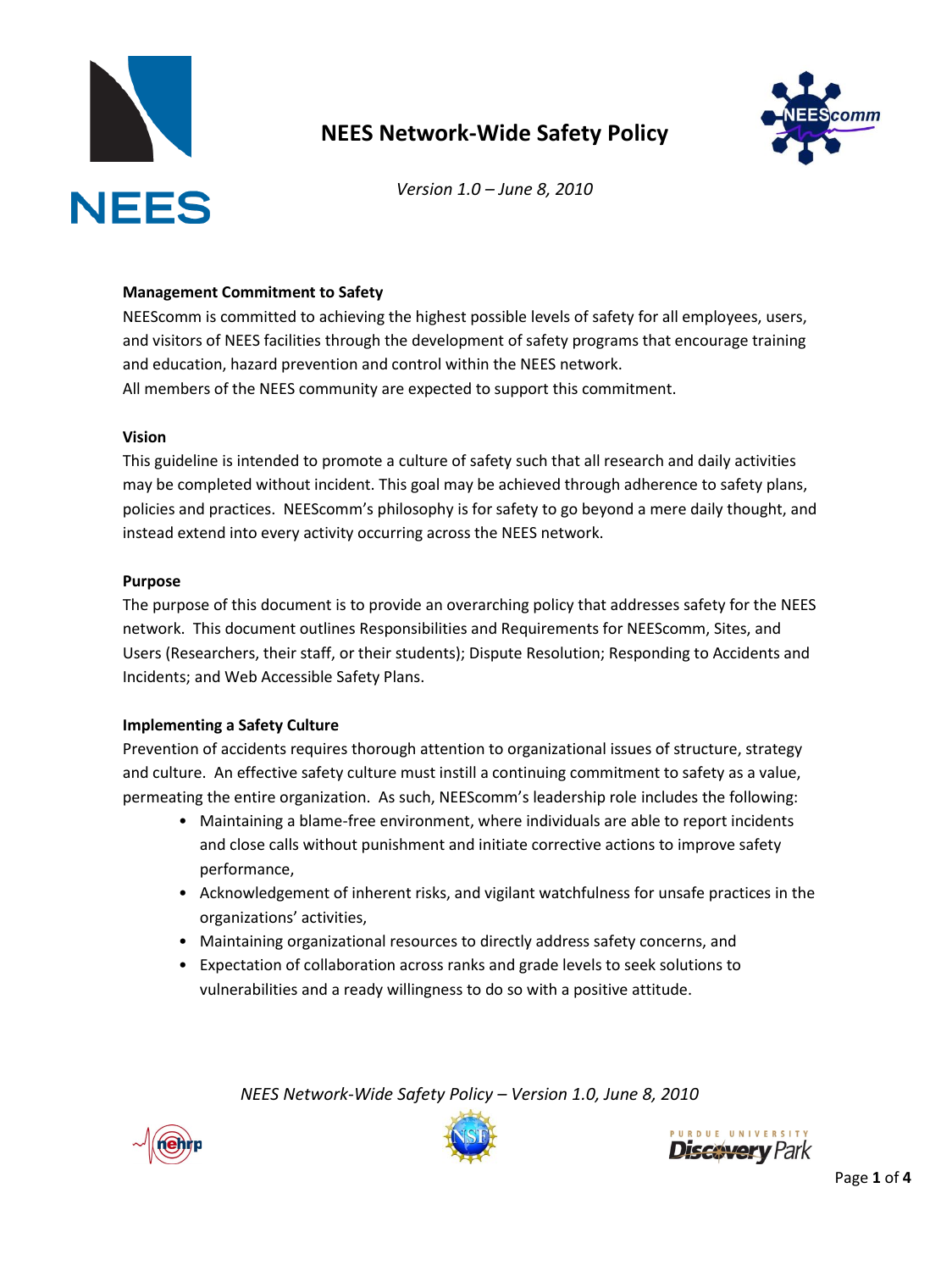

# **NEES Network-Wide Safety Policy**



*Version 1.0 – June 8, 2010*

### **Management Commitment to Safety**

NEEScomm is committed to achieving the highest possible levels of safety for all employees, users, and visitors of NEES facilities through the development of safety programs that encourage training and education, hazard prevention and control within the NEES network. All members of the NEES community are expected to support this commitment.

### **Vision**

This guideline is intended to promote a culture of safety such that all research and daily activities may be completed without incident. This goal may be achieved through adherence to safety plans, policies and practices. NEEScomm's philosophy is for safety to go beyond a mere daily thought, and instead extend into every activity occurring across the NEES network.

#### **Purpose**

The purpose of this document is to provide an overarching policy that addresses safety for the NEES network. This document outlines Responsibilities and Requirements for NEEScomm, Sites, and Users (Researchers, their staff, or their students); Dispute Resolution; Responding to Accidents and Incidents; and Web Accessible Safety Plans.

### **Implementing a Safety Culture**

Prevention of accidents requires thorough attention to organizational issues of structure, strategy and culture. An effective safety culture must instill a continuing commitment to safety as a value, permeating the entire organization. As such, NEEScomm's leadership role includes the following:

- Maintaining a blame-free environment, where individuals are able to report incidents and close calls without punishment and initiate corrective actions to improve safety performance,
- Acknowledgement of inherent risks, and vigilant watchfulness for unsafe practices in the organizations' activities,
- Maintaining organizational resources to directly address safety concerns, and
- Expectation of collaboration across ranks and grade levels to seek solutions to vulnerabilities and a ready willingness to do so with a positive attitude.





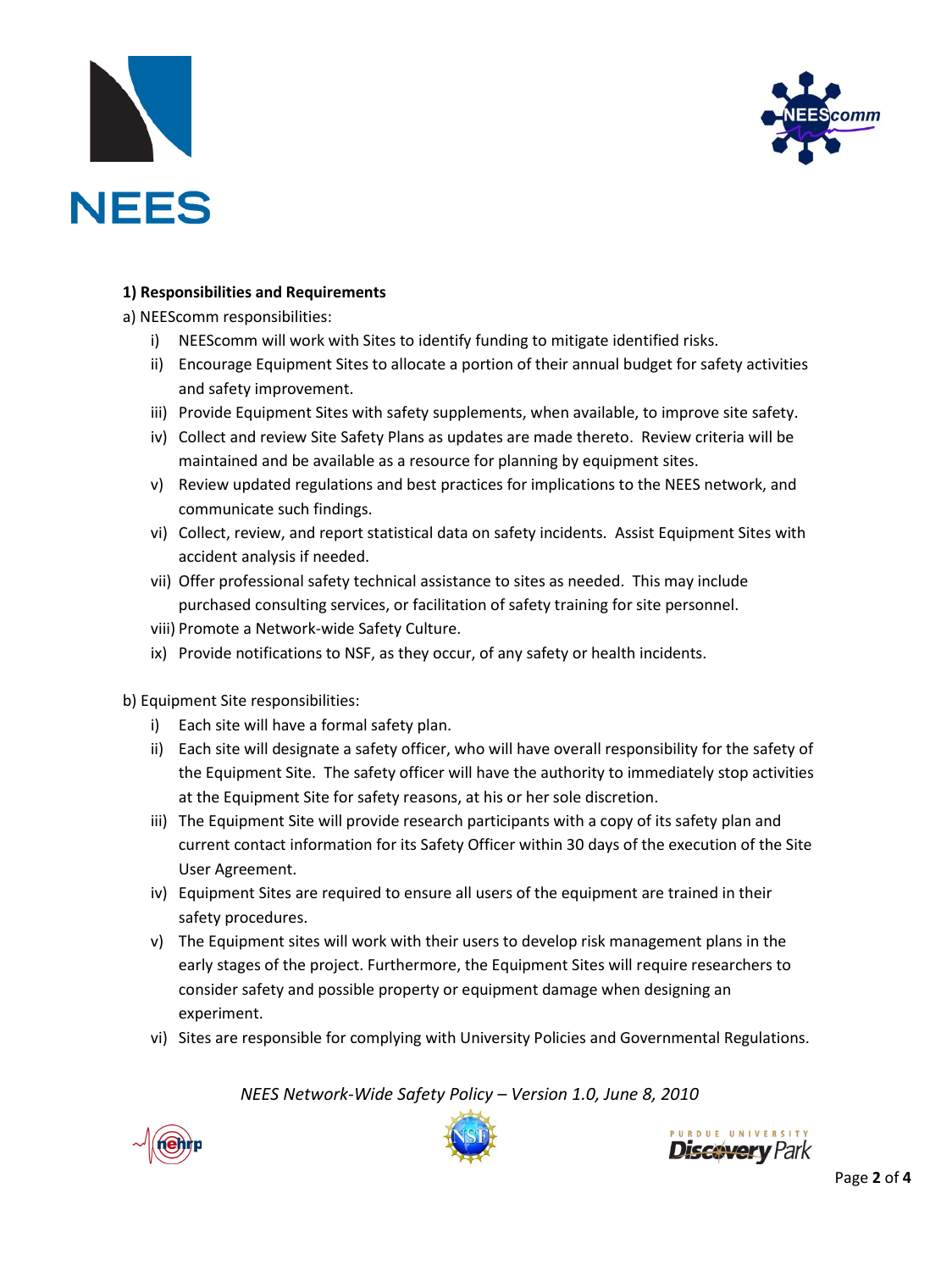



## **1) Responsibilities and Requirements**

a) NEEScomm responsibilities:

- i) NEEScomm will work with Sites to identify funding to mitigate identified risks.
- ii) Encourage Equipment Sites to allocate a portion of their annual budget for safety activities and safety improvement.
- iii) Provide Equipment Sites with safety supplements, when available, to improve site safety.
- iv) Collect and review Site Safety Plans as updates are made thereto. Review criteria will be maintained and be available as a resource for planning by equipment sites.
- v) Review updated regulations and best practices for implications to the NEES network, and communicate such findings.
- vi) Collect, review, and report statistical data on safety incidents. Assist Equipment Sites with accident analysis if needed.
- vii) Offer professional safety technical assistance to sites as needed. This may include purchased consulting services, or facilitation of safety training for site personnel.
- viii) Promote a Network-wide Safety Culture.
- ix) Provide notifications to NSF, as they occur, of any safety or health incidents.

b) Equipment Site responsibilities:

- i) Each site will have a formal safety plan.
- ii) Each site will designate a safety officer, who will have overall responsibility for the safety of the Equipment Site. The safety officer will have the authority to immediately stop activities at the Equipment Site for safety reasons, at his or her sole discretion.
- iii) The Equipment Site will provide research participants with a copy of its safety plan and current contact information for its Safety Officer within 30 days of the execution of the Site User Agreement.
- iv) Equipment Sites are required to ensure all users of the equipment are trained in their safety procedures.
- v) The Equipment sites will work with their users to develop risk management plans in the early stages of the project. Furthermore, the Equipment Sites will require researchers to consider safety and possible property or equipment damage when designing an experiment.
- vi) Sites are responsible for complying with University Policies and Governmental Regulations.





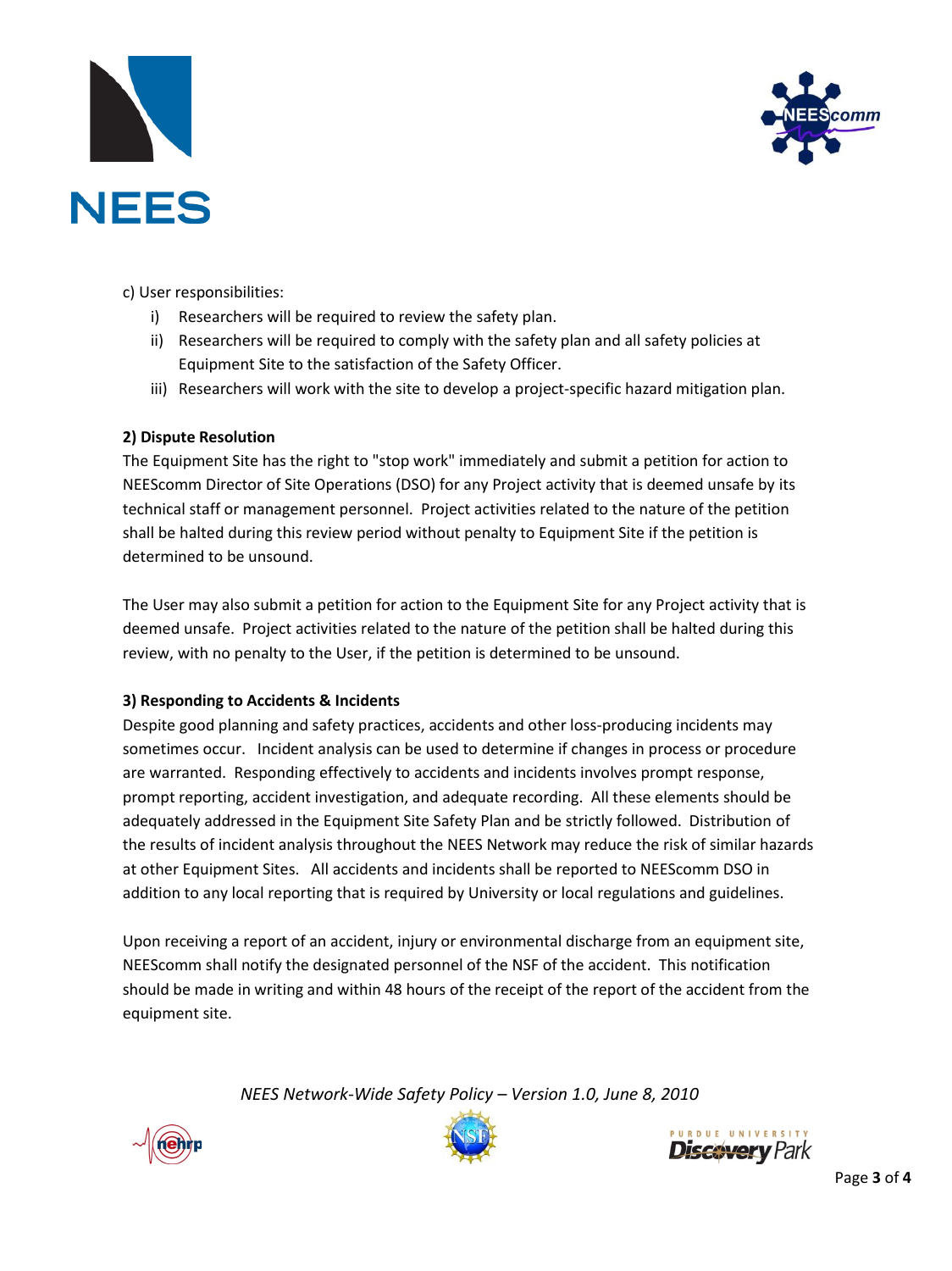



c) User responsibilities:

- i) Researchers will be required to review the safety plan.
- ii) Researchers will be required to comply with the safety plan and all safety policies at Equipment Site to the satisfaction of the Safety Officer.
- iii) Researchers will work with the site to develop a project-specific hazard mitigation plan.

## **2) Dispute Resolution**

The Equipment Site has the right to "stop work" immediately and submit a petition for action to NEEScomm Director of Site Operations (DSO) for any Project activity that is deemed unsafe by its technical staff or management personnel. Project activities related to the nature of the petition shall be halted during this review period without penalty to Equipment Site if the petition is determined to be unsound.

The User may also submit a petition for action to the Equipment Site for any Project activity that is deemed unsafe. Project activities related to the nature of the petition shall be halted during this review, with no penalty to the User, if the petition is determined to be unsound.

## **3) Responding to Accidents & Incidents**

Despite good planning and safety practices, accidents and other loss-producing incidents may sometimes occur. Incident analysis can be used to determine if changes in process or procedure are warranted. Responding effectively to accidents and incidents involves prompt response, prompt reporting, accident investigation, and adequate recording. All these elements should be adequately addressed in the Equipment Site Safety Plan and be strictly followed. Distribution of the results of incident analysis throughout the NEES Network may reduce the risk of similar hazards at other Equipment Sites. All accidents and incidents shall be reported to NEEScomm DSO in addition to any local reporting that is required by University or local regulations and guidelines.

Upon receiving a report of an accident, injury or environmental discharge from an equipment site, NEEScomm shall notify the designated personnel of the NSF of the accident. This notification should be made in writing and within 48 hours of the receipt of the report of the accident from the equipment site.